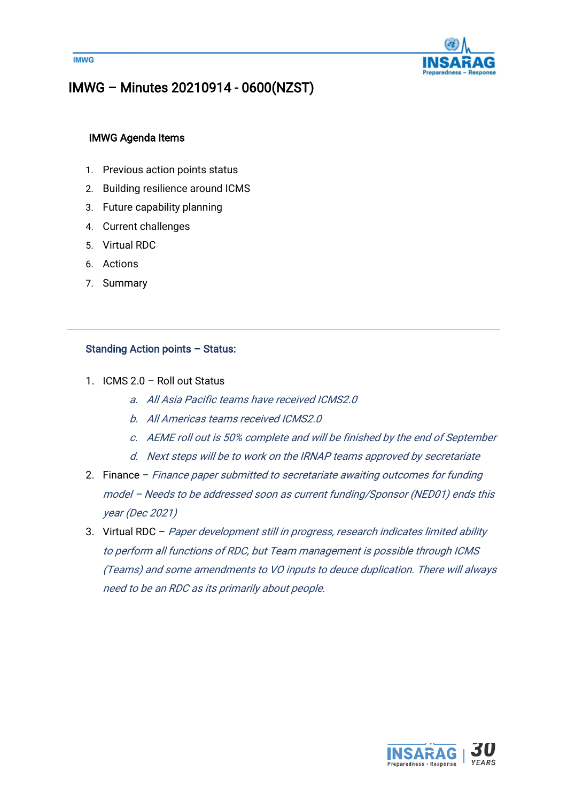



# IMWG – Minutes 20210914 - 0600(NZST)

## IMWG Agenda Items

- 1. Previous action points status
- 2. Building resilience around ICMS
- 3. Future capability planning
- 4. Current challenges
- 5. Virtual RDC
- 6. Actions
- 7. Summary

#### Standing Action points – Status:

- 1. ICMS 2.0 Roll out Status
	- a. All Asia Pacific teams have received ICMS2.0
	- b. All Americas teams received ICMS2.0
	- c. AEME roll out is 50% complete and will be finished by the end of September
	- d. Next steps will be to work on the IRNAP teams approved by secretariate
- 2. Finance Finance paper submitted to secretariate awaiting outcomes for funding model – Needs to be addressed soon as current funding/Sponsor (NED01) ends this year (Dec 2021)
- 3. Virtual RDC Paper development still in progress, research indicates limited ability to perform all functions of RDC, but Team management is possible through ICMS (Teams) and some amendments to VO inputs to deuce duplication. There will always need to be an RDC as its primarily about people.

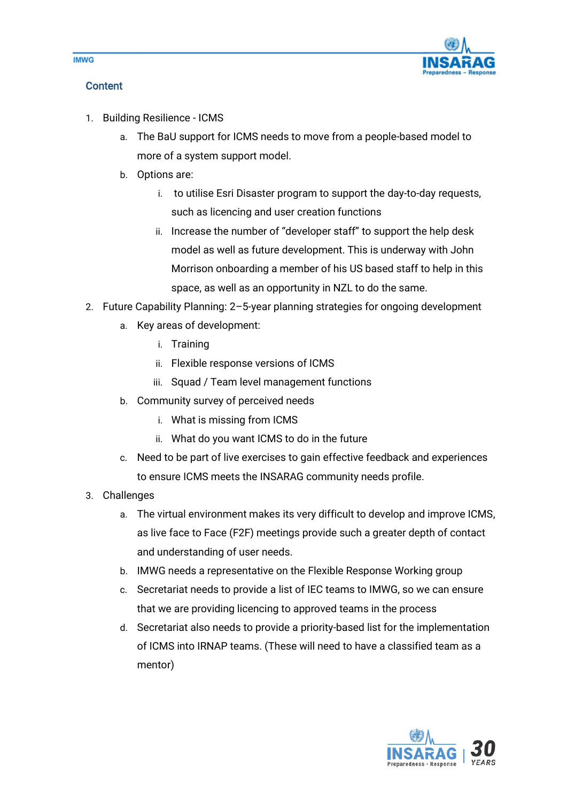

## **Content**

- 1. Building Resilience ICMS
	- a. The BaU support for ICMS needs to move from a people-based model to more of a system support model.
	- b. Options are:
		- i. to utilise Esri Disaster program to support the day-to-day requests, such as licencing and user creation functions
		- ii. Increase the number of "developer staff" to support the help desk model as well as future development. This is underway with John Morrison onboarding a member of his US based staff to help in this space, as well as an opportunity in NZL to do the same.
- 2. Future Capability Planning: 2–5-year planning strategies for ongoing development
	- a. Key areas of development:
		- i. Training
		- ii. Flexible response versions of ICMS
		- iii. Squad / Team level management functions
	- b. Community survey of perceived needs
		- i. What is missing from ICMS
		- ii. What do you want ICMS to do in the future
	- c. Need to be part of live exercises to gain effective feedback and experiences to ensure ICMS meets the INSARAG community needs profile.
- 3. Challenges
	- a. The virtual environment makes its very difficult to develop and improve ICMS, as live face to Face (F2F) meetings provide such a greater depth of contact and understanding of user needs.
	- b. IMWG needs a representative on the Flexible Response Working group
	- c. Secretariat needs to provide a list of IEC teams to IMWG, so we can ensure that we are providing licencing to approved teams in the process
	- d. Secretariat also needs to provide a priority-based list for the implementation of ICMS into IRNAP teams. (These will need to have a classified team as a mentor)



**IMWG**